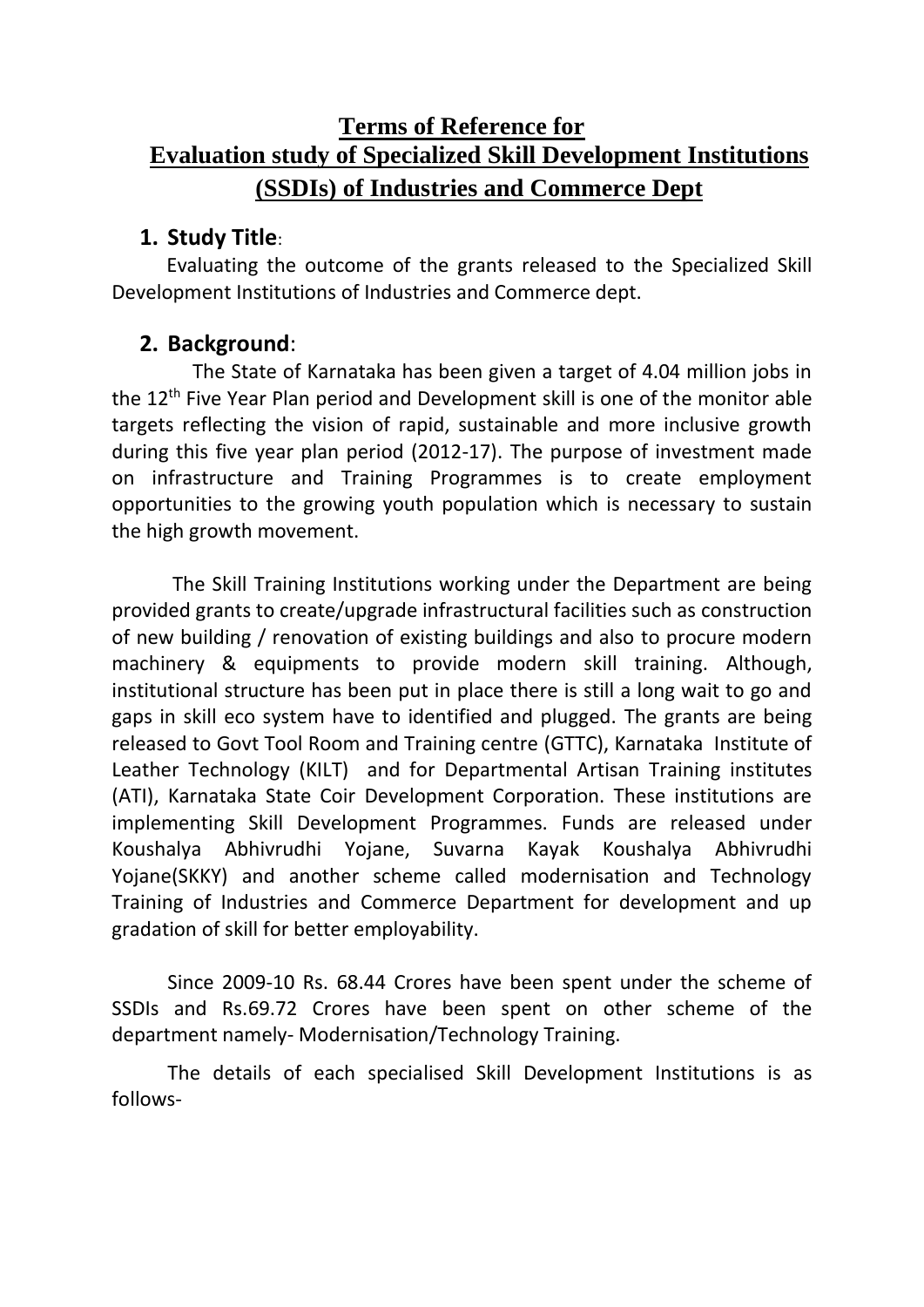# **Terms of Reference for Evaluation study of Specialized Skill Development Institutions (SSDIs) of Industries and Commerce Dept**

### **1. Study Title**:

 Evaluating the outcome of the grants released to the Specialized Skill Development Institutions of Industries and Commerce dept.

### **2. Background**:

 The State of Karnataka has been given a target of 4.04 million jobs in the 12<sup>th</sup> Five Year Plan period and Development skill is one of the monitor able targets reflecting the vision of rapid, sustainable and more inclusive growth during this five year plan period (2012-17). The purpose of investment made on infrastructure and Training Programmes is to create employment opportunities to the growing youth population which is necessary to sustain the high growth movement.

The Skill Training Institutions working under the Department are being provided grants to create/upgrade infrastructural facilities such as construction of new building / renovation of existing buildings and also to procure modern machinery & equipments to provide modern skill training. Although, institutional structure has been put in place there is still a long wait to go and gaps in skill eco system have to identified and plugged. The grants are being released to Govt Tool Room and Training centre (GTTC), Karnataka Institute of Leather Technology (KILT) and for Departmental Artisan Training institutes (ATI), Karnataka State Coir Development Corporation. These institutions are implementing Skill Development Programmes. Funds are released under Koushalya Abhivrudhi Yojane, Suvarna Kayak Koushalya Abhivrudhi Yojane(SKKY) and another scheme called modernisation and Technology Training of Industries and Commerce Department for development and up gradation of skill for better employability.

Since 2009-10 Rs. 68.44 Crores have been spent under the scheme of SSDIs and Rs.69.72 Crores have been spent on other scheme of the department namely- Modernisation/Technology Training.

The details of each specialised Skill Development Institutions is as follows-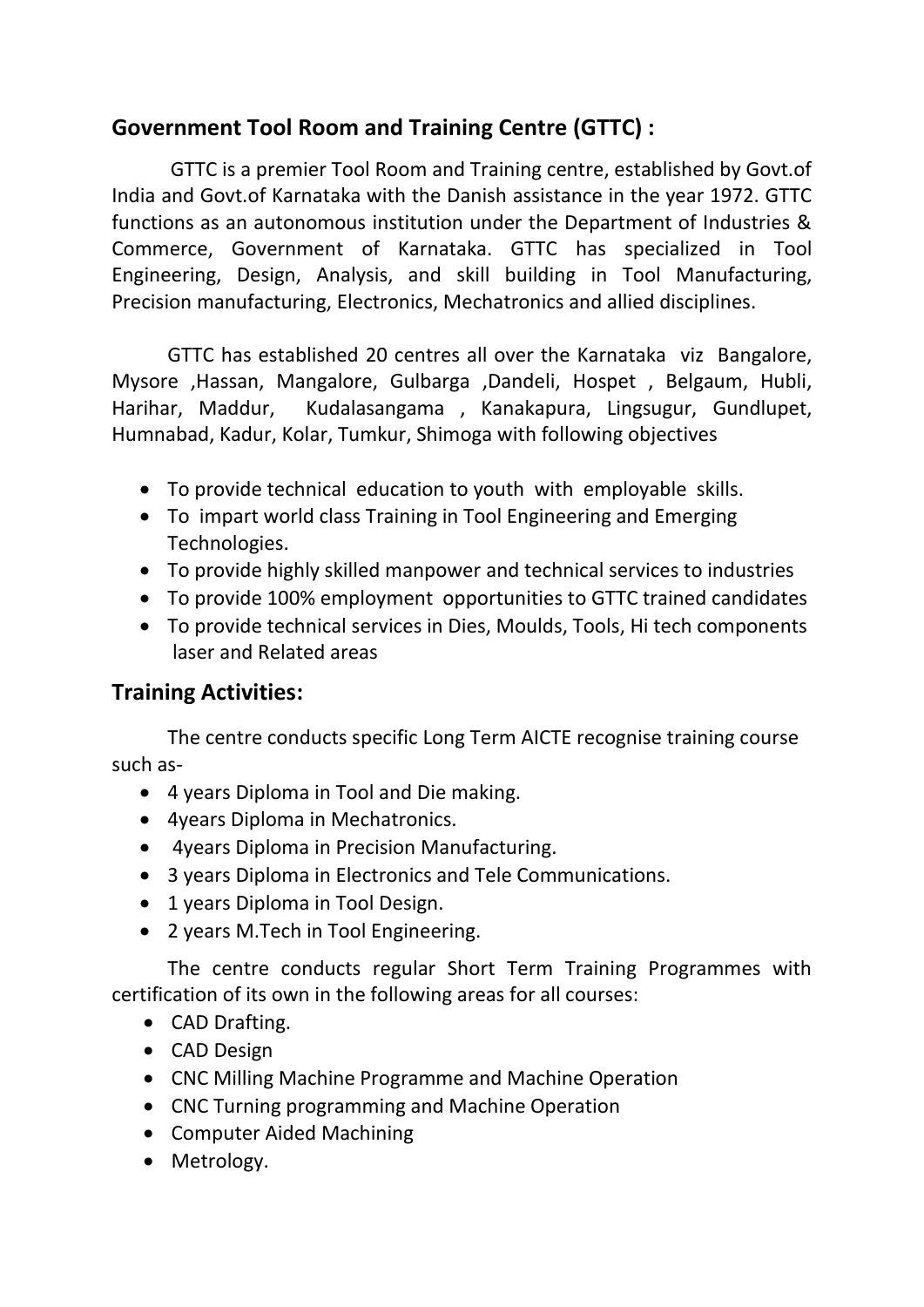# **Government Tool Room and Training Centre (GTTC) :**

 GTTC is a premier Tool Room and Training centre, established by Govt.of India and Govt.of Karnataka with the Danish assistance in the year 1972. GTTC functions as an autonomous institution under the Department of Industries & Commerce, Government of Karnataka. GTTC has specialized in Tool Engineering, Design, Analysis, and skill building in Tool Manufacturing, Precision manufacturing, Electronics, Mechatronics and allied disciplines.

GTTC has established 20 centres all over the Karnataka viz Bangalore, Mysore ,Hassan, Mangalore, Gulbarga ,Dandeli, Hospet , Belgaum, Hubli, Harihar, Maddur, Kudalasangama , Kanakapura, Lingsugur, Gundlupet, Humnabad, Kadur, Kolar, Tumkur, Shimoga with following objectives

- To provide technical education to youth with employable skills.
- To impart world class Training in Tool Engineering and Emerging Technologies.
- To provide highly skilled manpower and technical services to industries
- To provide 100% employment opportunities to GTTC trained candidates
- To provide technical services in Dies, Moulds, Tools, Hi tech components laser and Related areas

## **Training Activities:**

The centre conducts specific Long Term AICTE recognise training course such as-

- 4 years Diploma in Tool and Die making.
- 4years Diploma in Mechatronics.
- 4years Diploma in Precision Manufacturing.
- 3 years Diploma in Electronics and Tele Communications.
- 1 years Diploma in Tool Design.
- 2 years M.Tech in Tool Engineering.

The centre conducts regular Short Term Training Programmes with certification of its own in the following areas for all courses:

- CAD Drafting.
- CAD Design
- CNC Milling Machine Programme and Machine Operation
- CNC Turning programming and Machine Operation
- Computer Aided Machining
- Metrology.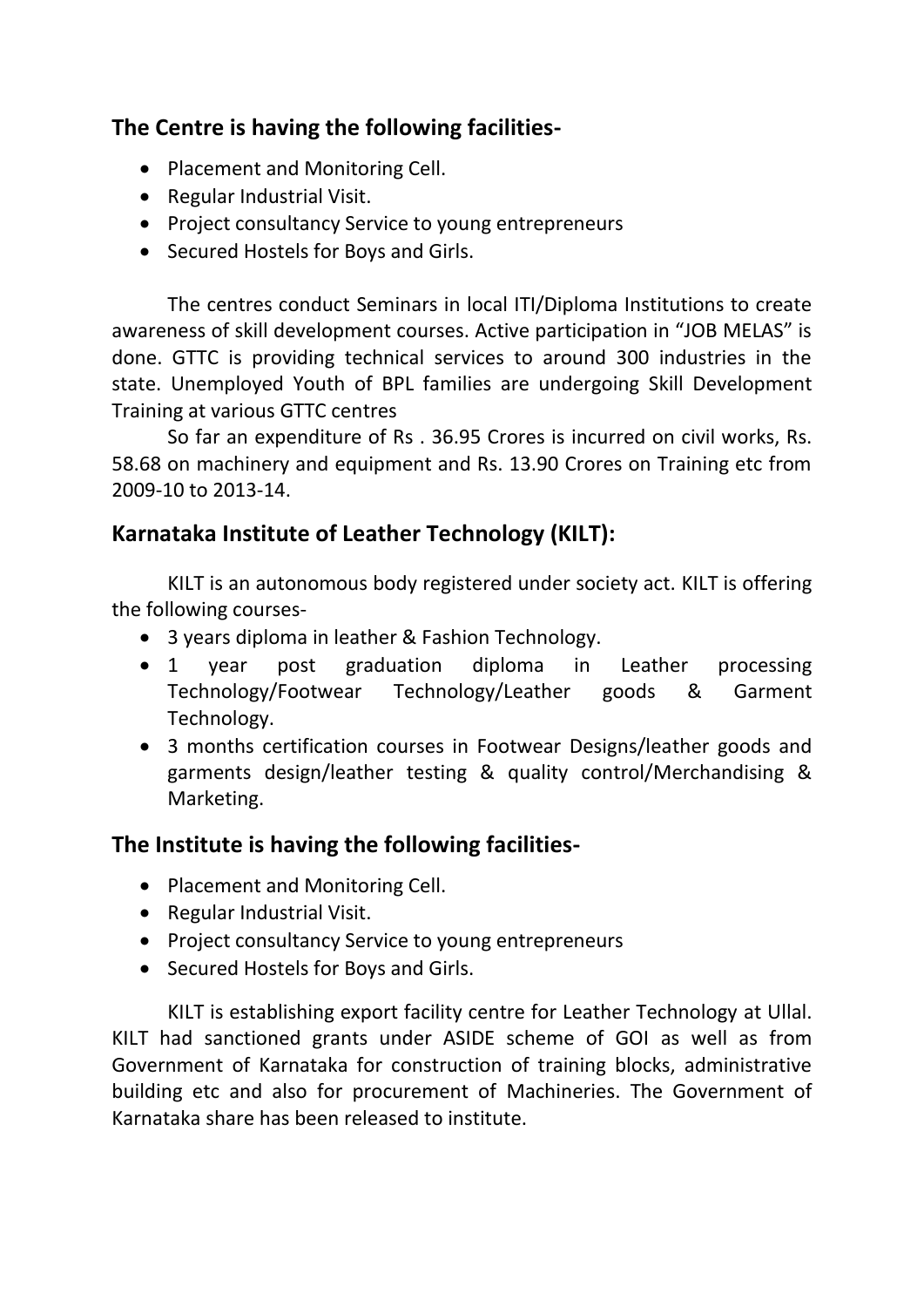# **The Centre is having the following facilities-**

- Placement and Monitoring Cell.
- Regular Industrial Visit.
- Project consultancy Service to young entrepreneurs
- Secured Hostels for Boys and Girls.

The centres conduct Seminars in local ITI/Diploma Institutions to create awareness of skill development courses. Active participation in "JOB MELAS" is done. GTTC is providing technical services to around 300 industries in the state. Unemployed Youth of BPL families are undergoing Skill Development Training at various GTTC centres

So far an expenditure of Rs . 36.95 Crores is incurred on civil works, Rs. 58.68 on machinery and equipment and Rs. 13.90 Crores on Training etc from 2009-10 to 2013-14.

# **Karnataka Institute of Leather Technology (KILT):**

KILT is an autonomous body registered under society act. KILT is offering the following courses-

- 3 years diploma in leather & Fashion Technology.
- 1 year post graduation diploma in Leather processing Technology/Footwear Technology/Leather goods & Garment Technology.
- 3 months certification courses in Footwear Designs/leather goods and garments design/leather testing & quality control/Merchandising & Marketing.

# **The Institute is having the following facilities-**

- Placement and Monitoring Cell.
- Regular Industrial Visit.
- Project consultancy Service to young entrepreneurs
- Secured Hostels for Boys and Girls.

KILT is establishing export facility centre for Leather Technology at Ullal. KILT had sanctioned grants under ASIDE scheme of GOI as well as from Government of Karnataka for construction of training blocks, administrative building etc and also for procurement of Machineries. The Government of Karnataka share has been released to institute.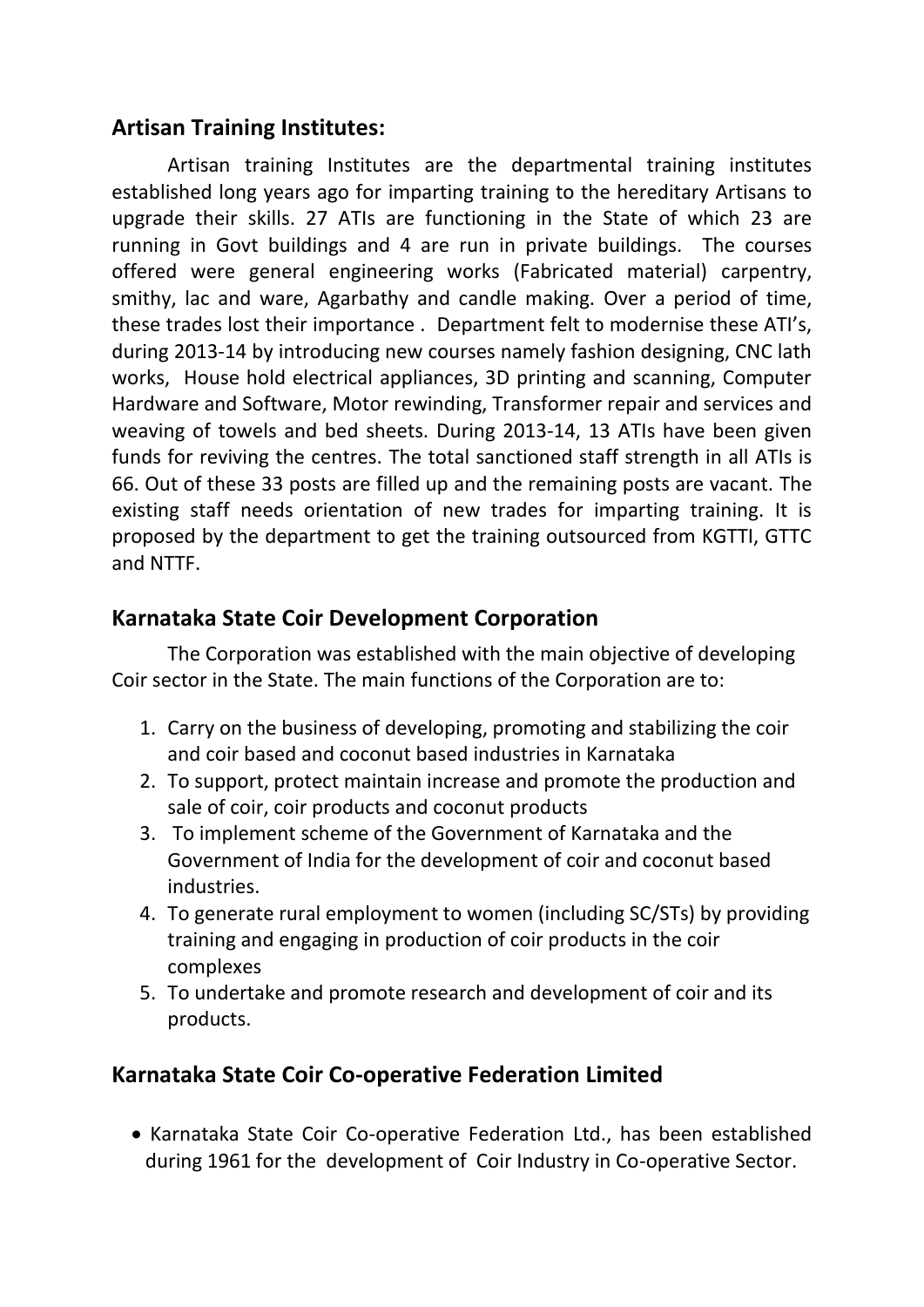### **Artisan Training Institutes:**

Artisan training Institutes are the departmental training institutes established long years ago for imparting training to the hereditary Artisans to upgrade their skills. 27 ATIs are functioning in the State of which 23 are running in Govt buildings and 4 are run in private buildings. The courses offered were general engineering works (Fabricated material) carpentry, smithy, lac and ware, Agarbathy and candle making. Over a period of time, these trades lost their importance . Department felt to modernise these ATI's, during 2013-14 by introducing new courses namely fashion designing, CNC lath works, House hold electrical appliances, 3D printing and scanning, Computer Hardware and Software, Motor rewinding, Transformer repair and services and weaving of towels and bed sheets. During 2013-14, 13 ATIs have been given funds for reviving the centres. The total sanctioned staff strength in all ATIs is 66. Out of these 33 posts are filled up and the remaining posts are vacant. The existing staff needs orientation of new trades for imparting training. It is proposed by the department to get the training outsourced from KGTTI, GTTC and NTTF.

# **Karnataka State Coir Development Corporation**

The Corporation was established with the main objective of developing Coir sector in the State. The main functions of the Corporation are to:

- 1. Carry on the business of developing, promoting and stabilizing the coir and coir based and coconut based industries in Karnataka
- 2. To support, protect maintain increase and promote the production and sale of coir, coir products and coconut products
- 3. To implement scheme of the Government of Karnataka and the Government of India for the development of coir and coconut based industries.
- 4. To generate rural employment to women (including SC/STs) by providing training and engaging in production of coir products in the coir complexes
- 5. To undertake and promote research and development of coir and its products.

# **Karnataka State Coir Co-operative Federation Limited**

• Karnataka State Coir Co-operative Federation Ltd., has been established during 1961 for the development of Coir Industry in Co-operative Sector.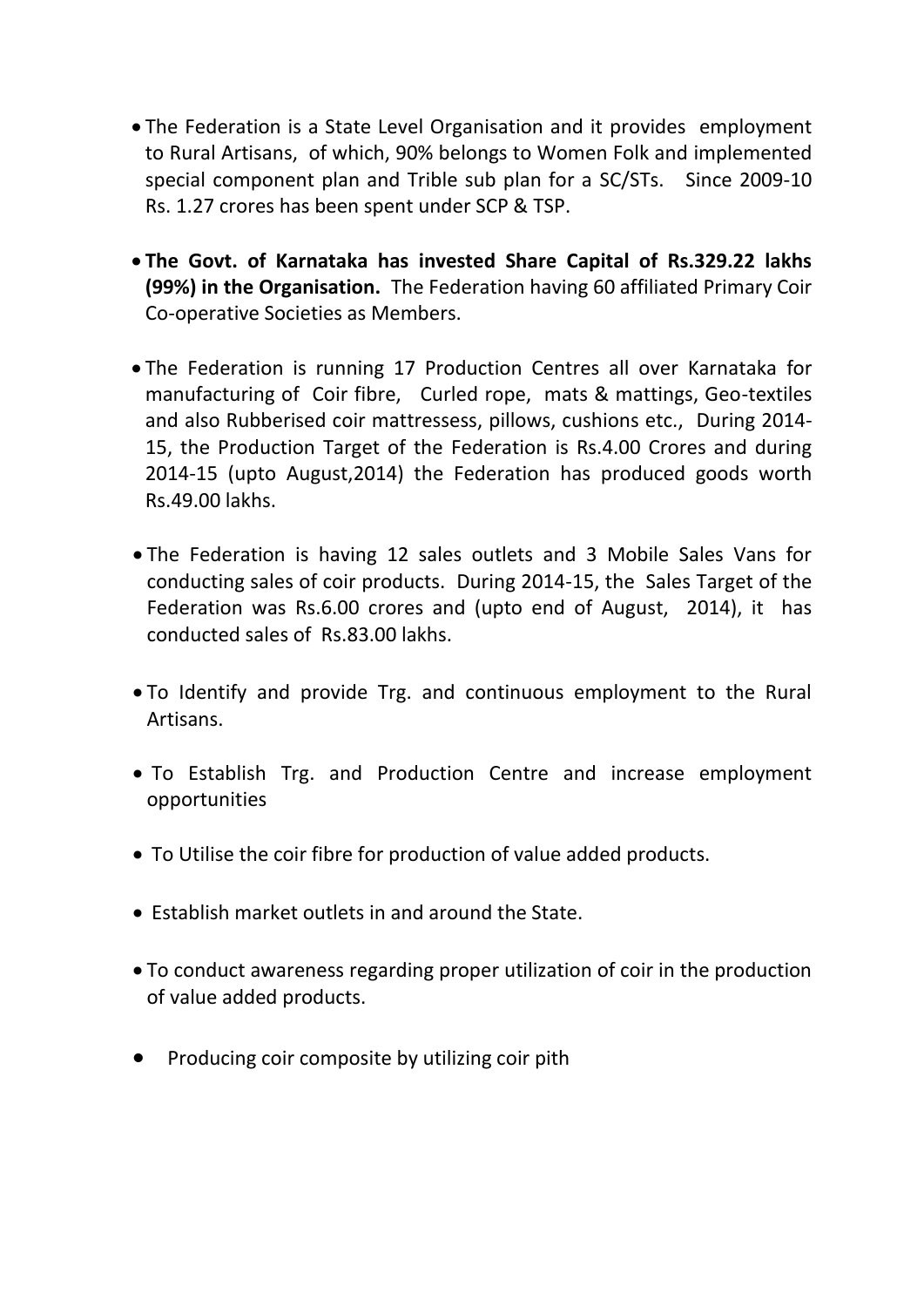- The Federation is a State Level Organisation and it provides employment to Rural Artisans, of which, 90% belongs to Women Folk and implemented special component plan and Trible sub plan for a SC/STs. Since 2009-10 Rs. 1.27 crores has been spent under SCP & TSP.
- **The Govt. of Karnataka has invested Share Capital of Rs.329.22 lakhs (99%) in the Organisation.** The Federation having 60 affiliated Primary Coir Co-operative Societies as Members.
- The Federation is running 17 Production Centres all over Karnataka for manufacturing of Coir fibre, Curled rope, mats & mattings, Geo-textiles and also Rubberised coir mattressess, pillows, cushions etc., During 2014- 15, the Production Target of the Federation is Rs.4.00 Crores and during 2014-15 (upto August,2014) the Federation has produced goods worth Rs.49.00 lakhs.
- The Federation is having 12 sales outlets and 3 Mobile Sales Vans for conducting sales of coir products. During 2014-15, the Sales Target of the Federation was Rs.6.00 crores and (upto end of August, 2014), it has conducted sales of Rs.83.00 lakhs.
- To Identify and provide Trg. and continuous employment to the Rural Artisans.
- To Establish Trg. and Production Centre and increase employment opportunities
- To Utilise the coir fibre for production of value added products.
- Establish market outlets in and around the State.
- To conduct awareness regarding proper utilization of coir in the production of value added products.
- Producing coir composite by utilizing coir pith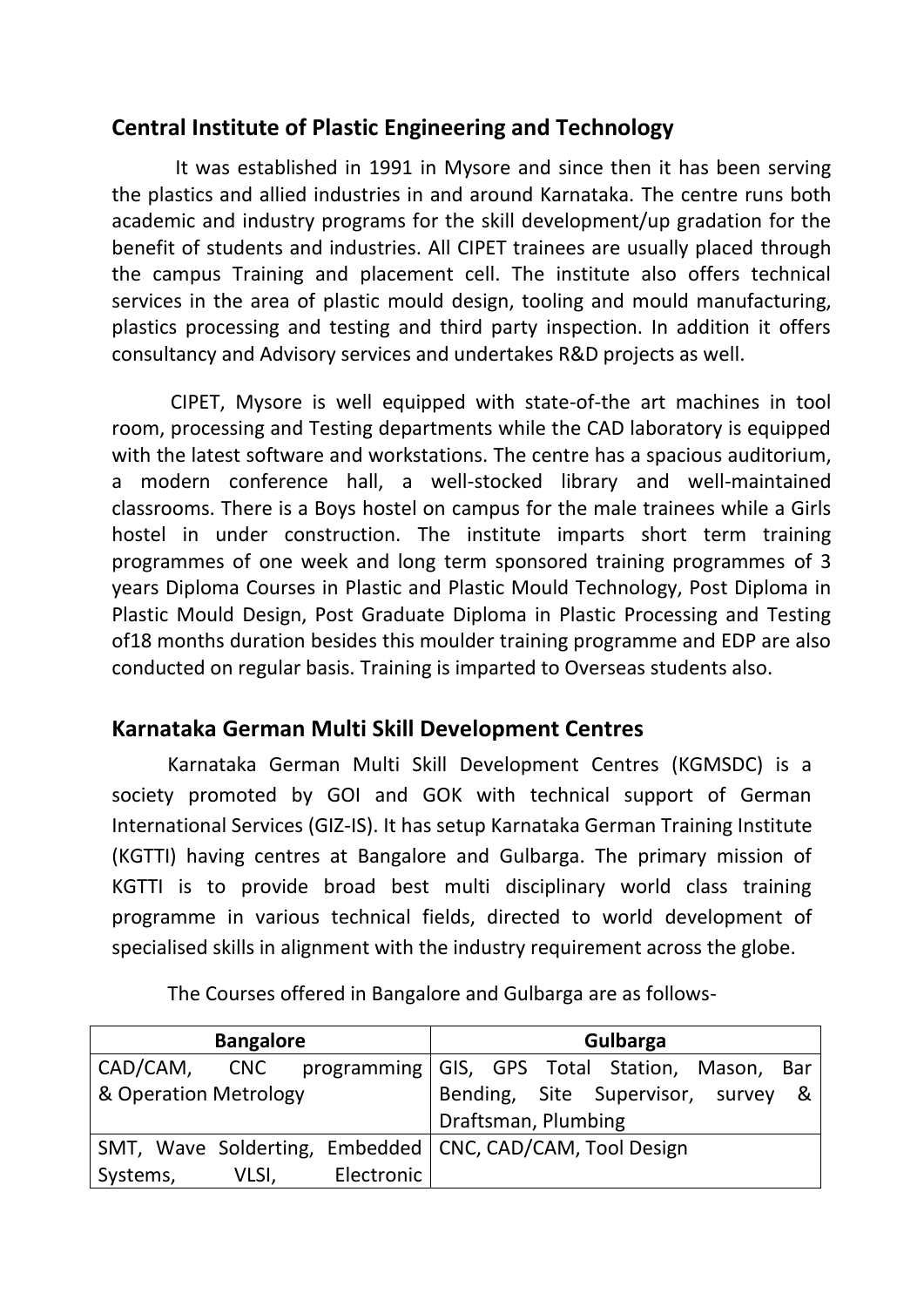# **Central Institute of Plastic Engineering and Technology**

 It was established in 1991 in Mysore and since then it has been serving the plastics and allied industries in and around Karnataka. The centre runs both academic and industry programs for the skill development/up gradation for the benefit of students and industries. All CIPET trainees are usually placed through the campus Training and placement cell. The institute also offers technical services in the area of plastic mould design, tooling and mould manufacturing, plastics processing and testing and third party inspection. In addition it offers consultancy and Advisory services and undertakes R&D projects as well.

 CIPET, Mysore is well equipped with state-of-the art machines in tool room, processing and Testing departments while the CAD laboratory is equipped with the latest software and workstations. The centre has a spacious auditorium, a modern conference hall, a well-stocked library and well-maintained classrooms. There is a Boys hostel on campus for the male trainees while a Girls hostel in under construction. The institute imparts short term training programmes of one week and long term sponsored training programmes of 3 years Diploma Courses in Plastic and Plastic Mould Technology, Post Diploma in Plastic Mould Design, Post Graduate Diploma in Plastic Processing and Testing of18 months duration besides this moulder training programme and EDP are also conducted on regular basis. Training is imparted to Overseas students also.

## **Karnataka German Multi Skill Development Centres**

Karnataka German Multi Skill Development Centres (KGMSDC) is a society promoted by GOI and GOK with technical support of German International Services (GIZ-IS). It has setup Karnataka German Training Institute (KGTTI) having centres at Bangalore and Gulbarga. The primary mission of KGTTI is to provide broad best multi disciplinary world class training programme in various technical fields, directed to world development of specialised skills in alignment with the industry requirement across the globe.

| <b>Bangalore</b>                                              |       |            | Gulbarga |  |                     |                                    |  |
|---------------------------------------------------------------|-------|------------|----------|--|---------------------|------------------------------------|--|
| CAD/CAM, CNC programming   GIS, GPS Total Station, Mason, Bar |       |            |          |  |                     |                                    |  |
| & Operation Metrology                                         |       |            |          |  |                     | Bending, Site Supervisor, survey & |  |
|                                                               |       |            |          |  | Draftsman, Plumbing |                                    |  |
| SMT, Wave Solderting, Embedded   CNC, CAD/CAM, Tool Design    |       |            |          |  |                     |                                    |  |
| Systems,                                                      | VLSI, | Electronic |          |  |                     |                                    |  |

The Courses offered in Bangalore and Gulbarga are as follows-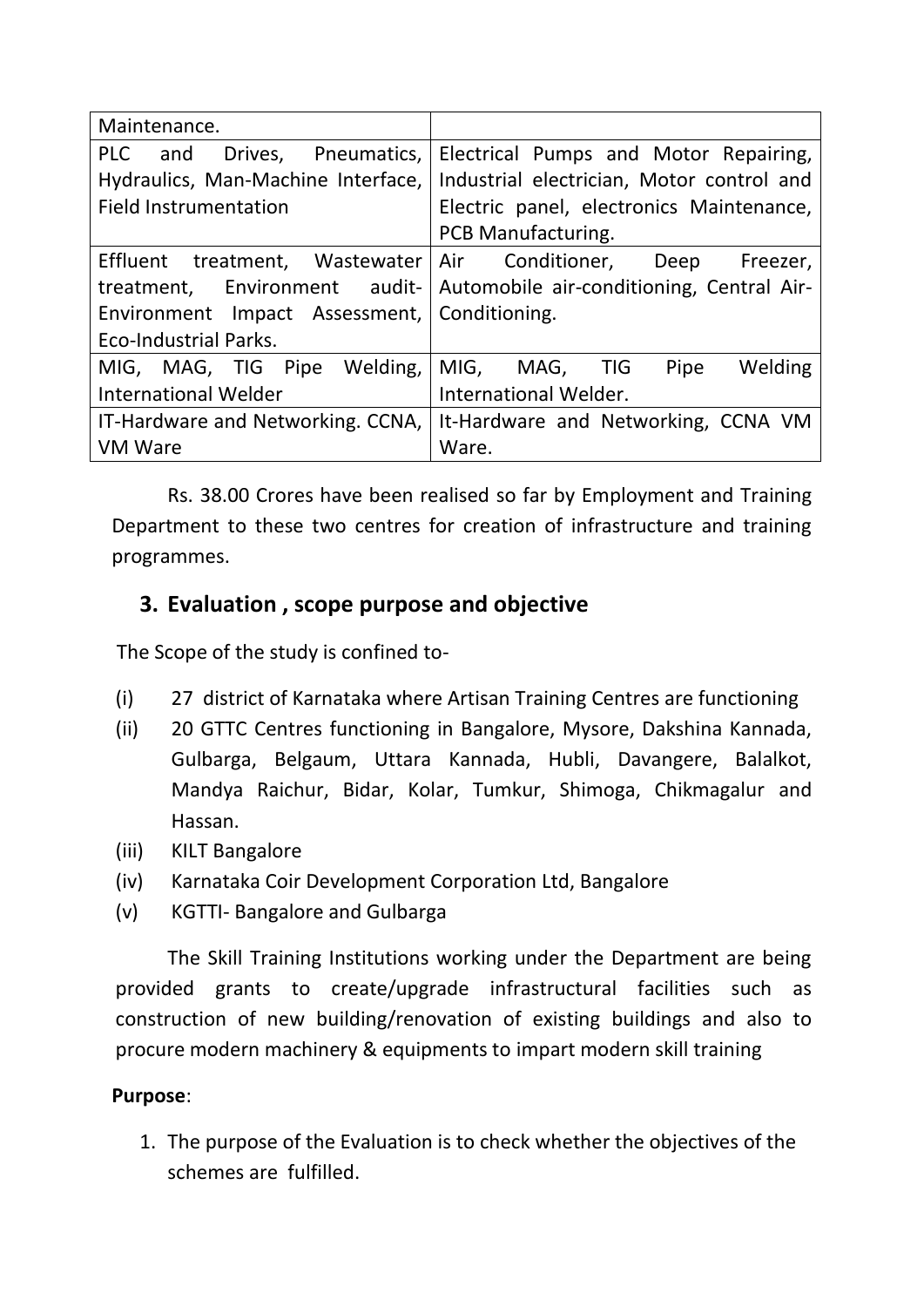| Maintenance.                         |                                           |
|--------------------------------------|-------------------------------------------|
| Drives, Pneumatics,<br>PLC<br>and    | Electrical Pumps and Motor Repairing,     |
| Hydraulics, Man-Machine Interface,   | Industrial electrician, Motor control and |
| <b>Field Instrumentation</b>         | Electric panel, electronics Maintenance,  |
|                                      | <b>PCB Manufacturing.</b>                 |
| Effluent treatment, Wastewater   Air | Conditioner, Deep<br>Freezer,             |
| treatment, Environment audit-        | Automobile air-conditioning, Central Air- |
| Environment Impact Assessment,       | Conditioning.                             |
| <b>Eco-Industrial Parks.</b>         |                                           |
| Welding,<br>MIG, MAG, TIG Pipe       | MIG, MAG, TIG<br>Welding<br>Pipe          |
| <b>International Welder</b>          | International Welder.                     |
| IT-Hardware and Networking. CCNA,    | It-Hardware and Networking, CCNA VM       |
| <b>VM Ware</b><br>Ware.              |                                           |

Rs. 38.00 Crores have been realised so far by Employment and Training Department to these two centres for creation of infrastructure and training programmes.

## **3. Evaluation , scope purpose and objective**

The Scope of the study is confined to-

- (i) 27 district of Karnataka where Artisan Training Centres are functioning
- (ii) 20 GTTC Centres functioning in Bangalore, Mysore, Dakshina Kannada, Gulbarga, Belgaum, Uttara Kannada, Hubli, Davangere, Balalkot, Mandya Raichur, Bidar, Kolar, Tumkur, Shimoga, Chikmagalur and Hassan.
- (iii) KILT Bangalore
- (iv) Karnataka Coir Development Corporation Ltd, Bangalore
- (v) KGTTI- Bangalore and Gulbarga

The Skill Training Institutions working under the Department are being provided grants to create/upgrade infrastructural facilities such as construction of new building/renovation of existing buildings and also to procure modern machinery & equipments to impart modern skill training

#### **Purpose**:

1. The purpose of the Evaluation is to check whether the objectives of the schemes are fulfilled.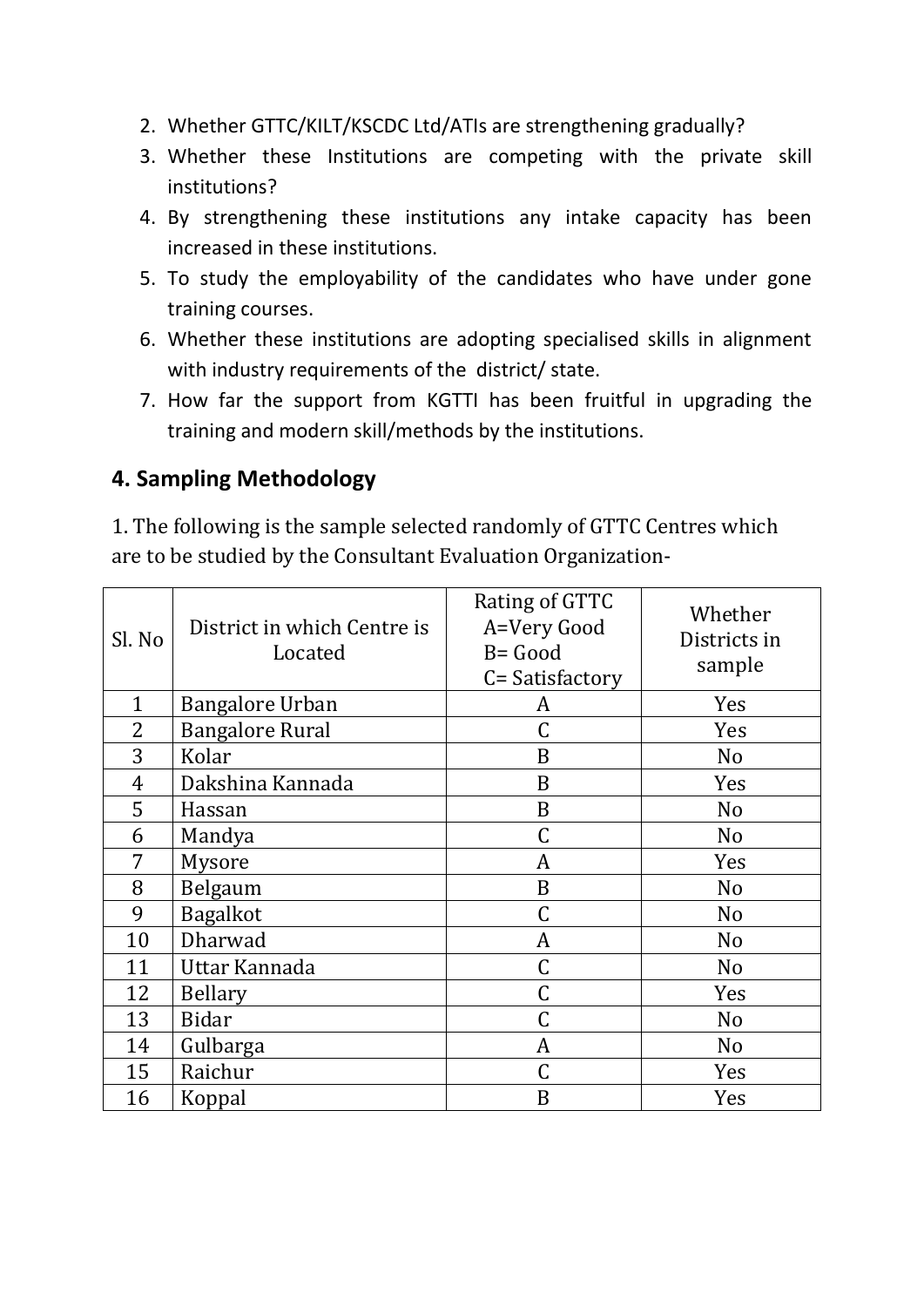- 2. Whether GTTC/KILT/KSCDC Ltd/ATIs are strengthening gradually?
- 3. Whether these Institutions are competing with the private skill institutions?
- 4. By strengthening these institutions any intake capacity has been increased in these institutions.
- 5. To study the employability of the candidates who have under gone training courses.
- 6. Whether these institutions are adopting specialised skills in alignment with industry requirements of the district/ state.
- 7. How far the support from KGTTI has been fruitful in upgrading the training and modern skill/methods by the institutions.

## **4. Sampling Methodology**

1. The following is the sample selected randomly of GTTC Centres which are to be studied by the Consultant Evaluation Organization-

| Sl. No         | District in which Centre is<br>Located | Rating of GTTC<br>A=Very Good<br>B= Good<br>C= Satisfactory | Whether<br>Districts in<br>sample |
|----------------|----------------------------------------|-------------------------------------------------------------|-----------------------------------|
| $\mathbf{1}$   | <b>Bangalore Urban</b>                 | A                                                           | Yes                               |
| 2              | <b>Bangalore Rural</b>                 | $\mathsf C$                                                 | Yes                               |
| 3              | Kolar                                  | B                                                           | N <sub>o</sub>                    |
| $\overline{4}$ | Dakshina Kannada                       | B                                                           | Yes                               |
| 5              | Hassan                                 | B                                                           | N <sub>o</sub>                    |
| 6              | Mandya                                 | C                                                           | N <sub>o</sub>                    |
| 7              | Mysore                                 | A                                                           | Yes                               |
| 8              | Belgaum                                | B                                                           | N <sub>o</sub>                    |
| 9              | <b>Bagalkot</b>                        | C                                                           | N <sub>o</sub>                    |
| 10             | Dharwad                                | A                                                           | N <sub>o</sub>                    |
| 11             | Uttar Kannada                          | C                                                           | N <sub>o</sub>                    |
| 12             | <b>Bellary</b>                         | C                                                           | Yes                               |
| 13             | <b>Bidar</b>                           | C                                                           | N <sub>o</sub>                    |
| 14             | Gulbarga                               | A                                                           | N <sub>o</sub>                    |
| 15             | Raichur                                | C                                                           | Yes                               |
| 16             | Koppal                                 | B                                                           | Yes                               |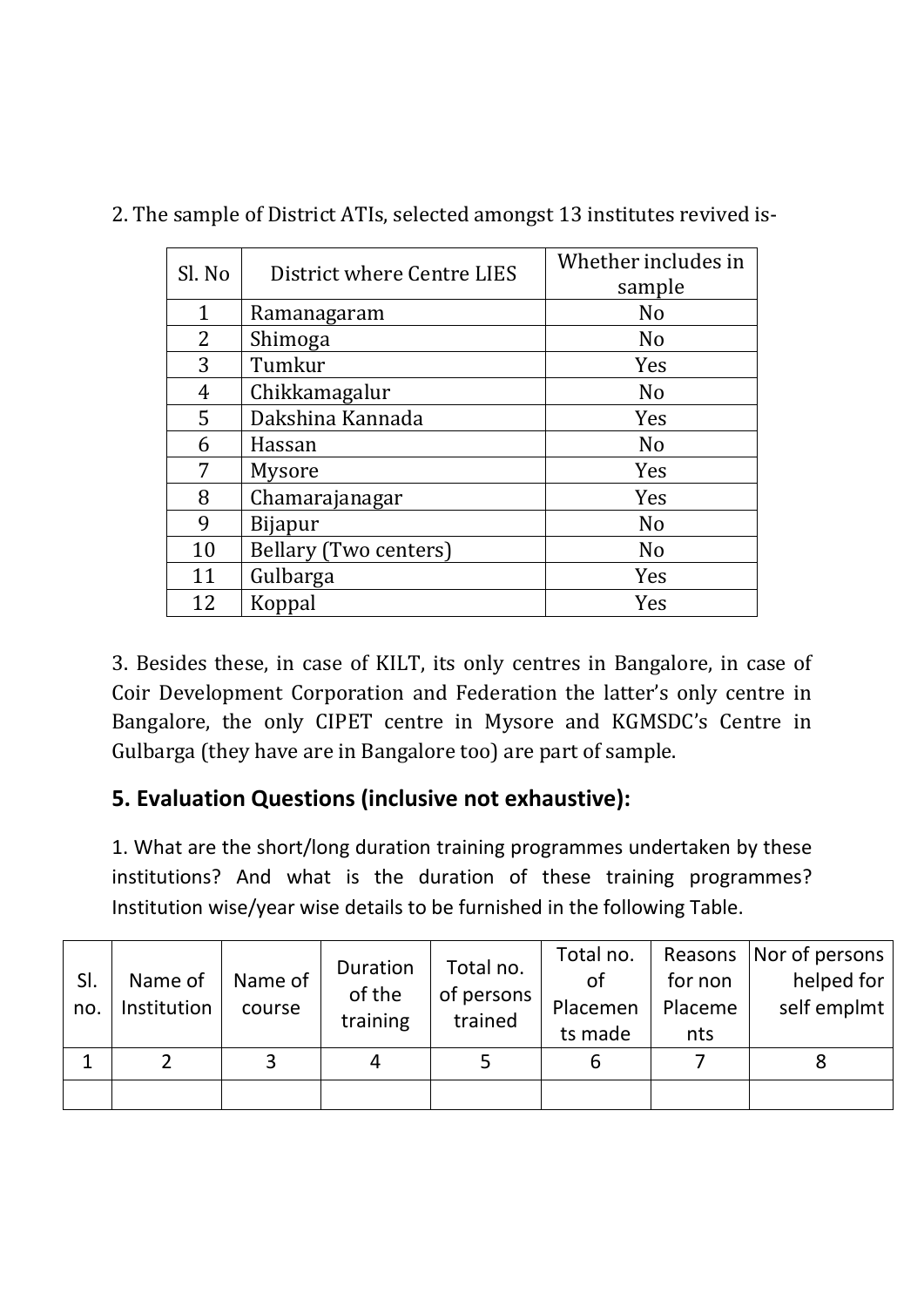| Sl. No         | District where Centre LIES   | Whether includes in<br>sample |  |  |
|----------------|------------------------------|-------------------------------|--|--|
| $\mathbf{1}$   | Ramanagaram                  | N <sub>0</sub>                |  |  |
| $\overline{2}$ | Shimoga                      | N <sub>0</sub>                |  |  |
| 3              | Tumkur                       | Yes                           |  |  |
| 4              | Chikkamagalur                | N <sub>0</sub>                |  |  |
| 5              | Dakshina Kannada             | Yes                           |  |  |
| 6              | Hassan                       | N <sub>0</sub>                |  |  |
| 7              | <b>Mysore</b>                | Yes                           |  |  |
| 8              | Chamarajanagar               | Yes                           |  |  |
| 9              | <b>Bijapur</b>               | N <sub>o</sub>                |  |  |
| 10             | <b>Bellary (Two centers)</b> | N <sub>o</sub>                |  |  |
| 11             | Gulbarga                     | Yes                           |  |  |
| 12             | Koppal                       | Yes                           |  |  |

2. The sample of District ATIs, selected amongst 13 institutes revived is-

3. Besides these, in case of KILT, its only centres in Bangalore, in case of Coir Development Corporation and Federation the latter's only centre in Bangalore, the only CIPET centre in Mysore and KGMSDC's Centre in Gulbarga (they have are in Bangalore too) are part of sample.

# **5. Evaluation Questions (inclusive not exhaustive):**

1. What are the short/long duration training programmes undertaken by these institutions? And what is the duration of these training programmes? Institution wise/year wise details to be furnished in the following Table.

| SI.<br>no. | Name of<br>Institution | Name of<br>course | Duration<br>of the<br>training | Total no.<br>of persons<br>trained | Total no.<br>οf<br>Placemen<br>ts made | for non<br>Placeme<br>nts | Reasons   Nor of persons  <br>helped for $ $<br>self emplmt |
|------------|------------------------|-------------------|--------------------------------|------------------------------------|----------------------------------------|---------------------------|-------------------------------------------------------------|
|            |                        |                   |                                |                                    | b                                      |                           |                                                             |
|            |                        |                   |                                |                                    |                                        |                           |                                                             |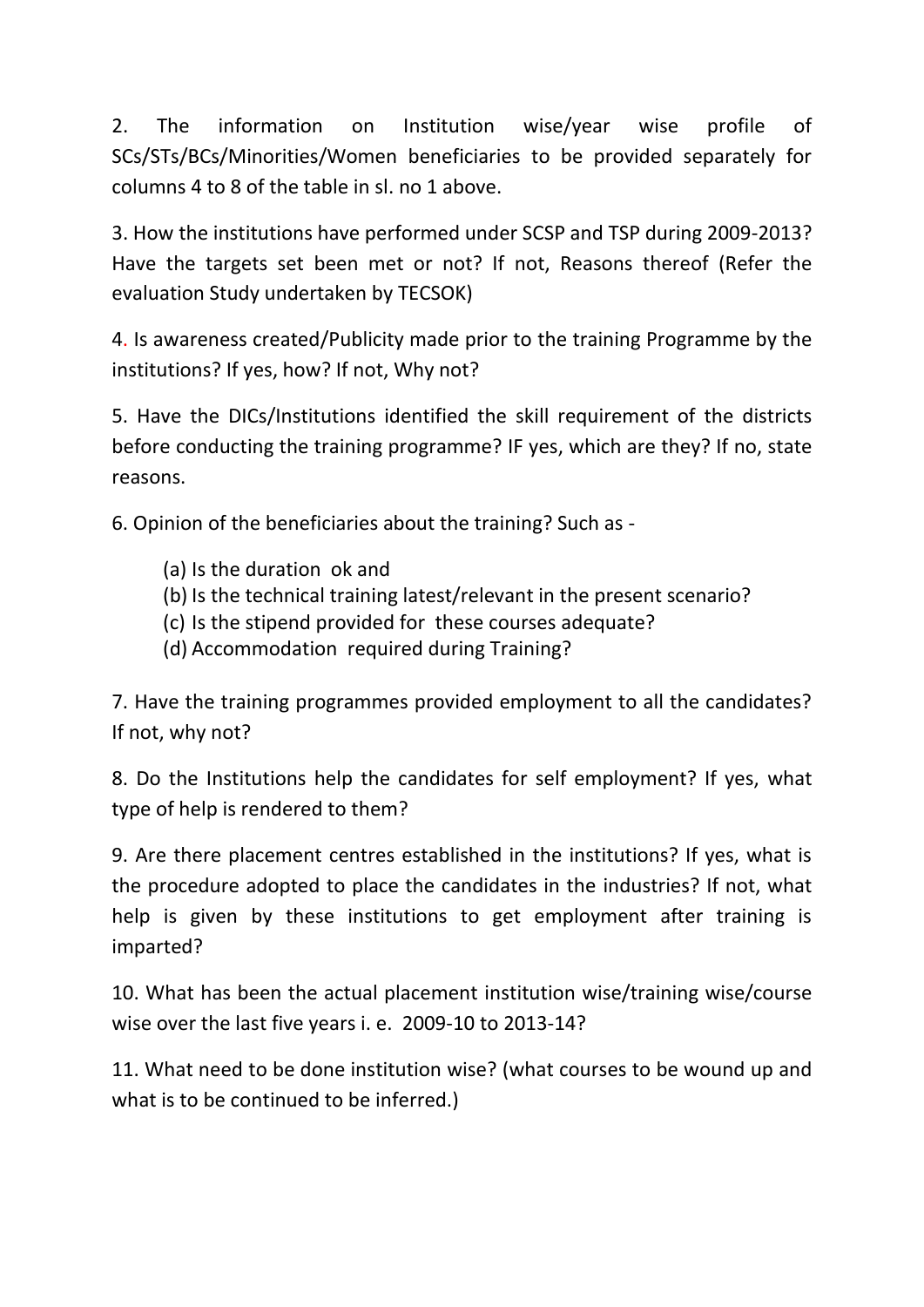2. The information on Institution wise/year wise profile of SCs/STs/BCs/Minorities/Women beneficiaries to be provided separately for columns 4 to 8 of the table in sl. no 1 above.

3. How the institutions have performed under SCSP and TSP during 2009-2013? Have the targets set been met or not? If not, Reasons thereof (Refer the evaluation Study undertaken by TECSOK)

4. Is awareness created/Publicity made prior to the training Programme by the institutions? If yes, how? If not, Why not?

5. Have the DICs/Institutions identified the skill requirement of the districts before conducting the training programme? IF yes, which are they? If no, state reasons.

6. Opinion of the beneficiaries about the training? Such as -

- (a) Is the duration ok and
- (b) Is the technical training latest/relevant in the present scenario?
- (c) Is the stipend provided for these courses adequate?
- (d) Accommodation required during Training?

7. Have the training programmes provided employment to all the candidates? If not, why not?

8. Do the Institutions help the candidates for self employment? If yes, what type of help is rendered to them?

9. Are there placement centres established in the institutions? If yes, what is the procedure adopted to place the candidates in the industries? If not, what help is given by these institutions to get employment after training is imparted?

10. What has been the actual placement institution wise/training wise/course wise over the last five years i. e. 2009-10 to 2013-14?

11. What need to be done institution wise? (what courses to be wound up and what is to be continued to be inferred.)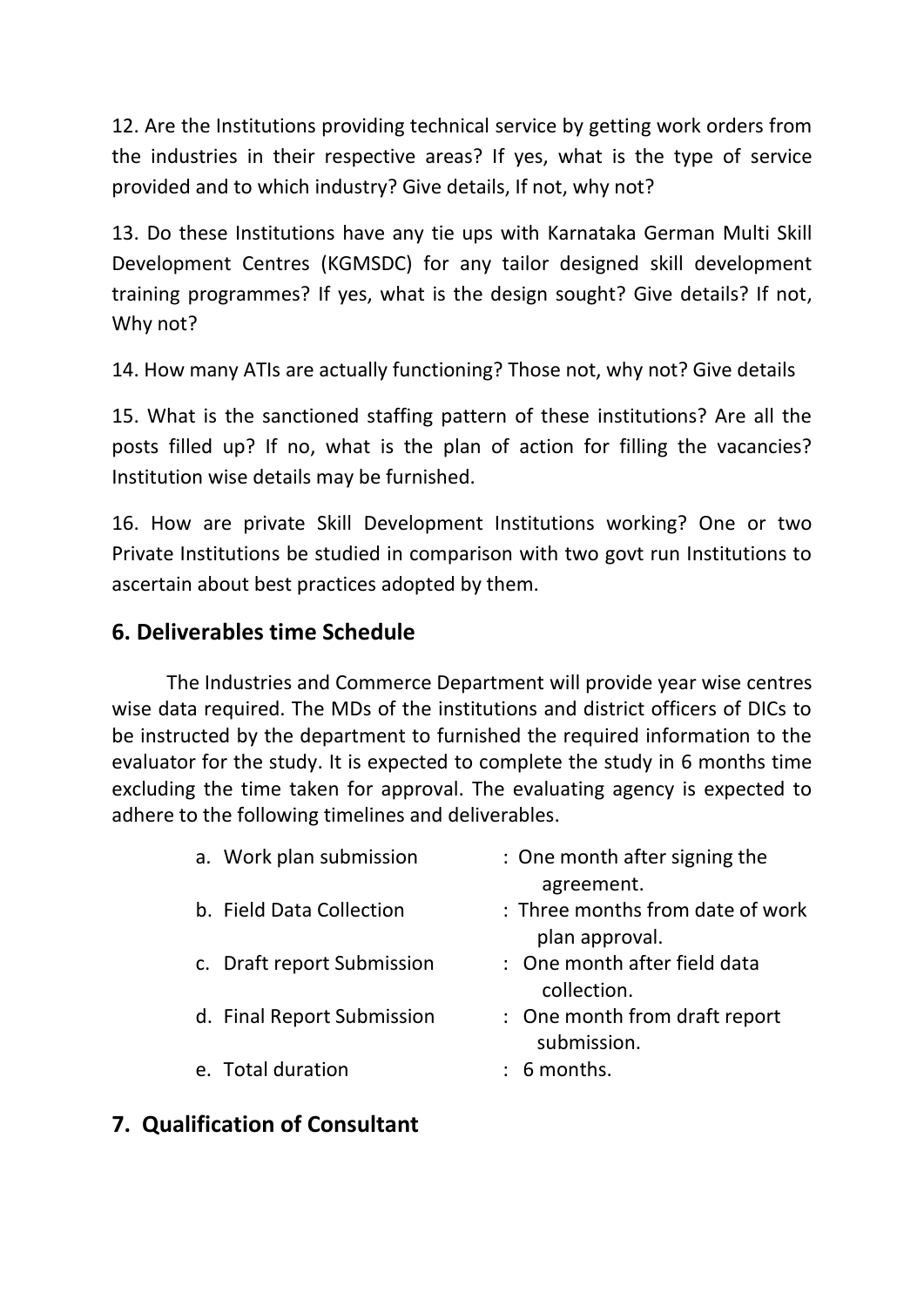12. Are the Institutions providing technical service by getting work orders from the industries in their respective areas? If yes, what is the type of service provided and to which industry? Give details, If not, why not?

13. Do these Institutions have any tie ups with Karnataka German Multi Skill Development Centres (KGMSDC) for any tailor designed skill development training programmes? If yes, what is the design sought? Give details? If not, Why not?

14. How many ATIs are actually functioning? Those not, why not? Give details

15. What is the sanctioned staffing pattern of these institutions? Are all the posts filled up? If no, what is the plan of action for filling the vacancies? Institution wise details may be furnished.

16. How are private Skill Development Institutions working? One or two Private Institutions be studied in comparison with two govt run Institutions to ascertain about best practices adopted by them.

# **6. Deliverables time Schedule**

The Industries and Commerce Department will provide year wise centres wise data required. The MDs of the institutions and district officers of DICs to be instructed by the department to furnished the required information to the evaluator for the study. It is expected to complete the study in 6 months time excluding the time taken for approval. The evaluating agency is expected to adhere to the following timelines and deliverables.

| a. Work plan submission    | : One month after signing the<br>agreement.        |
|----------------------------|----------------------------------------------------|
| b. Field Data Collection   | : Three months from date of work<br>plan approval. |
| c. Draft report Submission | : One month after field data<br>collection.        |
| d. Final Report Submission | : One month from draft report<br>submission.       |
| e. Total duration          | $: 6$ months.                                      |

# **7. Qualification of Consultant**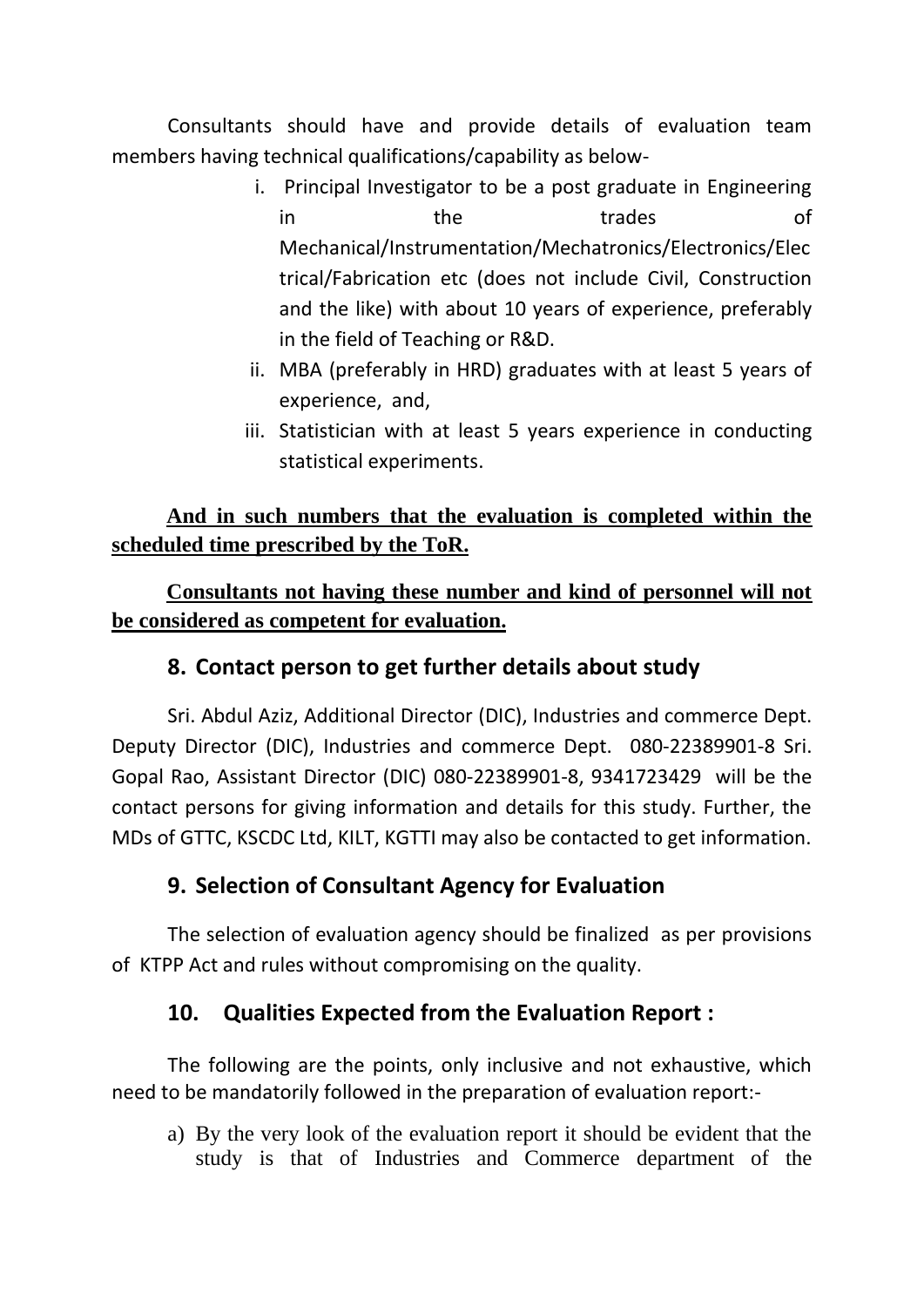Consultants should have and provide details of evaluation team members having technical qualifications/capability as below-

- i. Principal Investigator to be a post graduate in Engineering in the trades of Mechanical/Instrumentation/Mechatronics/Electronics/Elec trical/Fabrication etc (does not include Civil, Construction and the like) with about 10 years of experience, preferably in the field of Teaching or R&D.
- ii. MBA (preferably in HRD) graduates with at least 5 years of experience, and,
- iii. Statistician with at least 5 years experience in conducting statistical experiments.

# **And in such numbers that the evaluation is completed within the scheduled time prescribed by the ToR.**

**Consultants not having these number and kind of personnel will not be considered as competent for evaluation.**

# **8. Contact person to get further details about study**

Sri. Abdul Aziz, Additional Director (DIC), Industries and commerce Dept. Deputy Director (DIC), Industries and commerce Dept. 080-22389901-8 Sri. Gopal Rao, Assistant Director (DIC) 080-22389901-8, 9341723429 will be the contact persons for giving information and details for this study. Further, the MDs of GTTC, KSCDC Ltd, KILT, KGTTI may also be contacted to get information.

## **9. Selection of Consultant Agency for Evaluation**

The selection of evaluation agency should be finalized as per provisions of KTPP Act and rules without compromising on the quality.

## **10. Qualities Expected from the Evaluation Report :**

The following are the points, only inclusive and not exhaustive, which need to be mandatorily followed in the preparation of evaluation report:-

a) By the very look of the evaluation report it should be evident that the study is that of Industries and Commerce department of the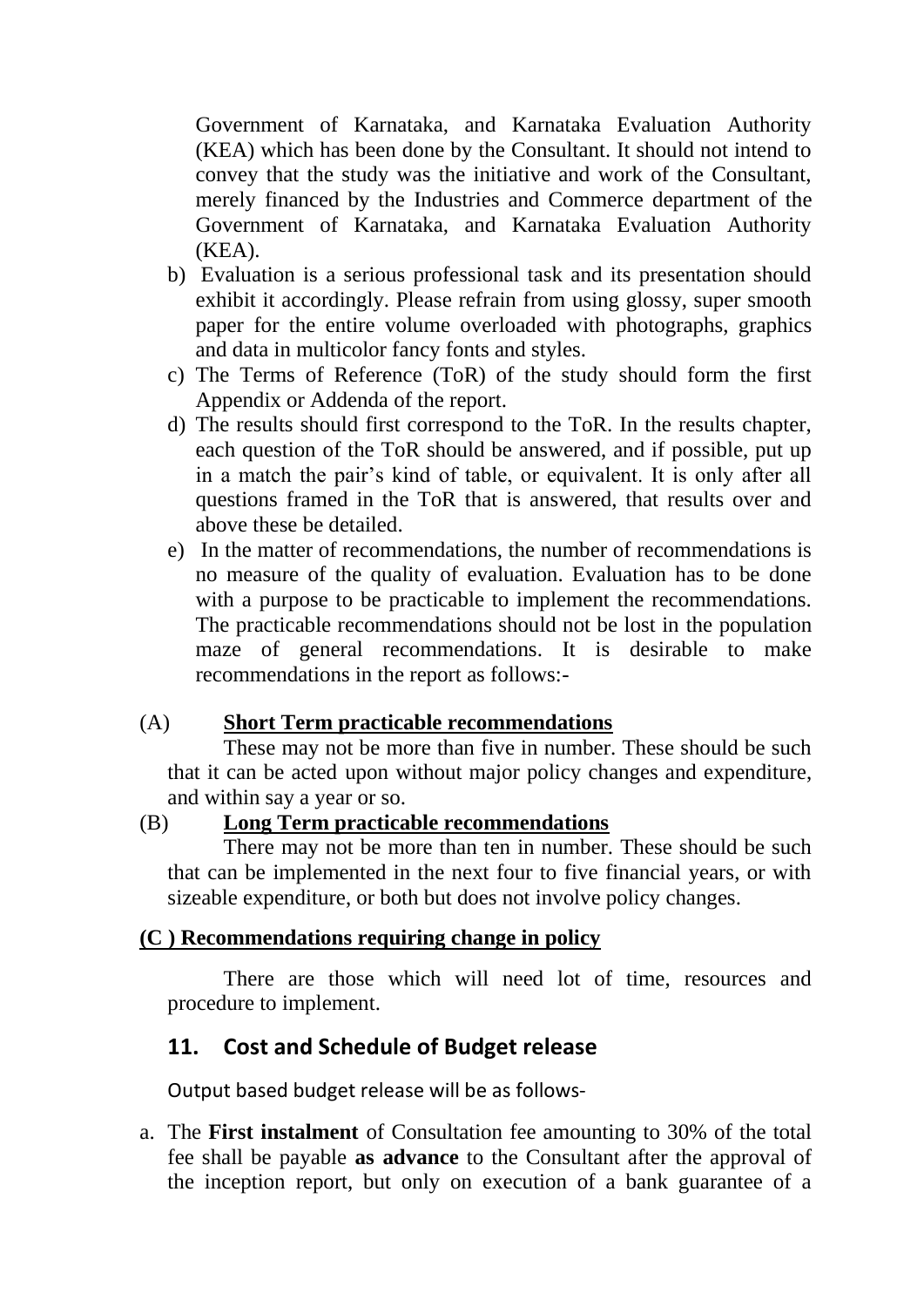Government of Karnataka, and Karnataka Evaluation Authority (KEA) which has been done by the Consultant. It should not intend to convey that the study was the initiative and work of the Consultant, merely financed by the Industries and Commerce department of the Government of Karnataka, and Karnataka Evaluation Authority (KEA).

- b) Evaluation is a serious professional task and its presentation should exhibit it accordingly. Please refrain from using glossy, super smooth paper for the entire volume overloaded with photographs, graphics and data in multicolor fancy fonts and styles.
- c) The Terms of Reference (ToR) of the study should form the first Appendix or Addenda of the report.
- d) The results should first correspond to the ToR. In the results chapter, each question of the ToR should be answered, and if possible, put up in a match the pair's kind of table, or equivalent. It is only after all questions framed in the ToR that is answered, that results over and above these be detailed.
- e) In the matter of recommendations, the number of recommendations is no measure of the quality of evaluation. Evaluation has to be done with a purpose to be practicable to implement the recommendations. The practicable recommendations should not be lost in the population maze of general recommendations. It is desirable to make recommendations in the report as follows:-

#### (A) **Short Term practicable recommendations**

These may not be more than five in number. These should be such that it can be acted upon without major policy changes and expenditure, and within say a year or so.

#### (B) **Long Term practicable recommendations**

There may not be more than ten in number. These should be such that can be implemented in the next four to five financial years, or with sizeable expenditure, or both but does not involve policy changes.

#### **(C ) Recommendations requiring change in policy**

There are those which will need lot of time, resources and procedure to implement.

#### **11. Cost and Schedule of Budget release**

Output based budget release will be as follows-

a. The **First instalment** of Consultation fee amounting to 30% of the total fee shall be payable **as advance** to the Consultant after the approval of the inception report, but only on execution of a bank guarantee of a